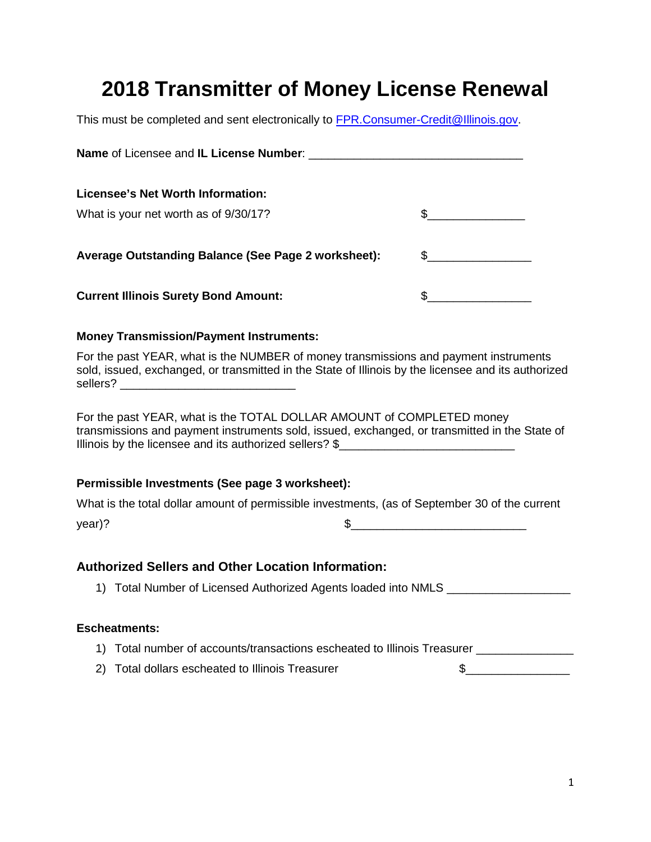## **2018 Transmitter of Money License Renewal**

This must be completed and sent electronically to **FPR.Consumer-Credit@Illinois.gov**.

| Licensee's Net Worth Information:                                                                                                                                                                                                 |                                                                                                                                                                                                                                                                                                                                                                     |
|-----------------------------------------------------------------------------------------------------------------------------------------------------------------------------------------------------------------------------------|---------------------------------------------------------------------------------------------------------------------------------------------------------------------------------------------------------------------------------------------------------------------------------------------------------------------------------------------------------------------|
| What is your net worth as of 9/30/17?                                                                                                                                                                                             | $\begin{picture}(20,10) \put(0,0){\vector(1,0){100}} \put(15,0){\vector(1,0){100}} \put(15,0){\vector(1,0){100}} \put(15,0){\vector(1,0){100}} \put(15,0){\vector(1,0){100}} \put(15,0){\vector(1,0){100}} \put(15,0){\vector(1,0){100}} \put(15,0){\vector(1,0){100}} \put(15,0){\vector(1,0){100}} \put(15,0){\vector(1,0){100}} \put(15,0){\vector(1,0){100}} \$ |
| Average Outstanding Balance (See Page 2 worksheet):                                                                                                                                                                               | $\begin{picture}(20,10) \put(0,0){\vector(1,0){100}} \put(15,0){\vector(1,0){100}} \put(15,0){\vector(1,0){100}} \put(15,0){\vector(1,0){100}} \put(15,0){\vector(1,0){100}} \put(15,0){\vector(1,0){100}} \put(15,0){\vector(1,0){100}} \put(15,0){\vector(1,0){100}} \put(15,0){\vector(1,0){100}} \put(15,0){\vector(1,0){100}} \put(15,0){\vector(1,0){100}} \$ |
| <b>Current Illinois Surety Bond Amount:</b>                                                                                                                                                                                       | $\begin{picture}(20,10) \put(0,0){\line(1,0){10}} \put(15,0){\line(1,0){10}} \put(15,0){\line(1,0){10}} \put(15,0){\line(1,0){10}} \put(15,0){\line(1,0){10}} \put(15,0){\line(1,0){10}} \put(15,0){\line(1,0){10}} \put(15,0){\line(1,0){10}} \put(15,0){\line(1,0){10}} \put(15,0){\line(1,0){10}} \put(15,0){\line(1,0){10}} \put(15,0){\line(1$                 |
| <b>Money Transmission/Payment Instruments:</b>                                                                                                                                                                                    |                                                                                                                                                                                                                                                                                                                                                                     |
| For the past YEAR, what is the NUMBER of money transmissions and payment instruments<br>sold, issued, exchanged, or transmitted in the State of Illinois by the licensee and its authorized                                       |                                                                                                                                                                                                                                                                                                                                                                     |
| For the past YEAR, what is the TOTAL DOLLAR AMOUNT of COMPLETED money<br>transmissions and payment instruments sold, issued, exchanged, or transmitted in the State of<br>Illinois by the licensee and its authorized sellers? \$ |                                                                                                                                                                                                                                                                                                                                                                     |
| Permissible Investments (See page 3 worksheet):                                                                                                                                                                                   |                                                                                                                                                                                                                                                                                                                                                                     |
| What is the total dollar amount of permissible investments, (as of September 30 of the current                                                                                                                                    |                                                                                                                                                                                                                                                                                                                                                                     |
| year)?                                                                                                                                                                                                                            | $\begin{tabular}{c} \hline \small  $S$ \end{tabular}$                                                                                                                                                                                                                                                                                                               |
| <b>Authorized Sellers and Other Location Information:</b>                                                                                                                                                                         |                                                                                                                                                                                                                                                                                                                                                                     |
| 1) Total Number of Licensed Authorized Agents loaded into NMLS _________________                                                                                                                                                  |                                                                                                                                                                                                                                                                                                                                                                     |
| <b>Escheatments:</b>                                                                                                                                                                                                              |                                                                                                                                                                                                                                                                                                                                                                     |
| 1) Total number of accounts/transactions escheated to Illinois Treasurer _____________                                                                                                                                            |                                                                                                                                                                                                                                                                                                                                                                     |
| 2) Total dollars escheated to Illinois Treasurer                                                                                                                                                                                  | $\frac{1}{2}$ 5                                                                                                                                                                                                                                                                                                                                                     |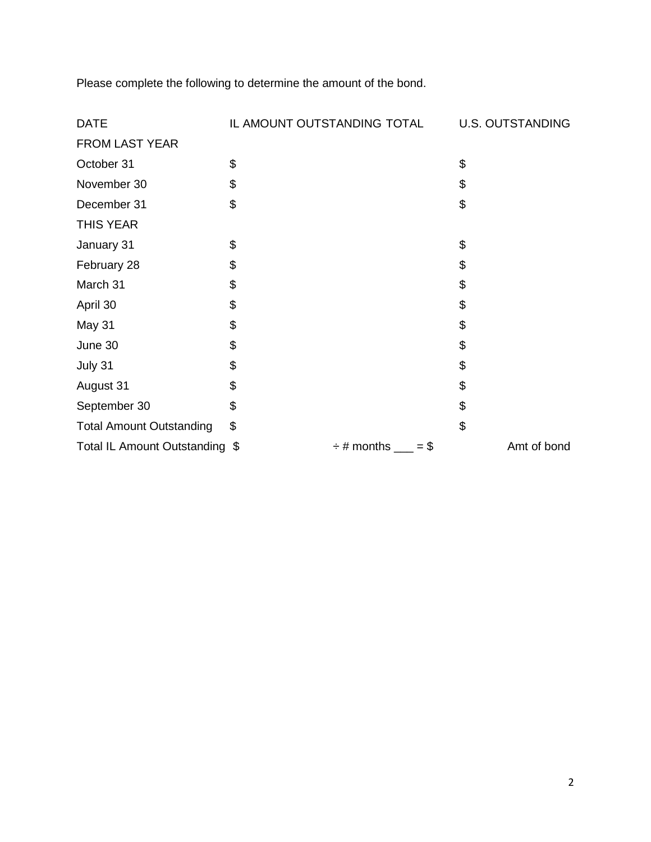Please complete the following to determine the amount of the bond.

| <b>DATE</b>                     | IL AMOUNT OUTSTANDING TOTAL |                               | <b>U.S. OUTSTANDING</b> |
|---------------------------------|-----------------------------|-------------------------------|-------------------------|
| FROM LAST YEAR                  |                             |                               |                         |
| October 31                      | \$                          |                               | \$                      |
| November 30                     | \$                          |                               | \$                      |
| December 31                     | \$                          |                               | \$                      |
| <b>THIS YEAR</b>                |                             |                               |                         |
| January 31                      | \$                          |                               | \$                      |
| February 28                     | \$                          |                               | \$                      |
| March 31                        | \$                          |                               | \$                      |
| April 30                        | \$                          |                               | \$                      |
| May 31                          | \$                          |                               | \$                      |
| June 30                         | \$                          |                               | \$                      |
| July 31                         | \$                          |                               | \$                      |
| August 31                       | \$                          |                               | \$                      |
| September 30                    | \$                          |                               | \$                      |
| <b>Total Amount Outstanding</b> | \$                          |                               | \$                      |
| Total IL Amount Outstanding \$  |                             | $\div$ # months ____<br>$= $$ | Amt of bond             |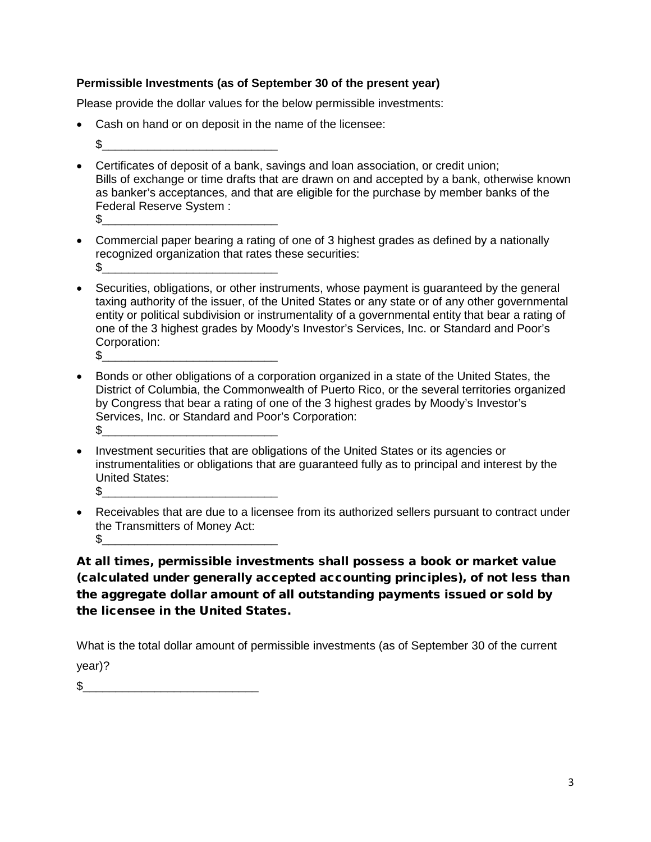## **Permissible Investments (as of September 30 of the present year)**

Please provide the dollar values for the below permissible investments:

- Cash on hand or on deposit in the name of the licensee:
	- $\mathbb S$
- Certificates of deposit of a bank, savings and loan association, or credit union; Bills of exchange or time drafts that are drawn on and accepted by a bank, otherwise known as banker's acceptances, and that are eligible for the purchase by member banks of the Federal Reserve System : \$\_\_\_\_\_\_\_\_\_\_\_\_\_\_\_\_\_\_\_\_\_\_\_\_\_\_\_
- Commercial paper bearing a rating of one of 3 highest grades as defined by a nationally recognized organization that rates these securities: \$\_\_\_\_\_\_\_\_\_\_\_\_\_\_\_\_\_\_\_\_\_\_\_\_\_\_\_
- Securities, obligations, or other instruments, whose payment is guaranteed by the general taxing authority of the issuer, of the United States or any state or of any other governmental entity or political subdivision or instrumentality of a governmental entity that bear a rating of one of the 3 highest grades by Moody's Investor's Services, Inc. or Standard and Poor's Corporation: \$\_\_\_\_\_\_\_\_\_\_\_\_\_\_\_\_\_\_\_\_\_\_\_\_\_\_\_
- Bonds or other obligations of a corporation organized in a state of the United States, the District of Columbia, the Commonwealth of Puerto Rico, or the several territories organized by Congress that bear a rating of one of the 3 highest grades by Moody's Investor's Services, Inc. or Standard and Poor's Corporation:  $\text{\$}$
- Investment securities that are obligations of the United States or its agencies or instrumentalities or obligations that are guaranteed fully as to principal and interest by the United States:  $\mathbb{S}$
- Receivables that are due to a licensee from its authorized sellers pursuant to contract under the Transmitters of Money Act:  $\mathbb S$

At all times, permissible investments shall possess a book or market value (calculated under generally accepted accounting principles), of not less than the aggregate dollar amount of all outstanding payments issued or sold by the licensee in the United States.

What is the total dollar amount of permissible investments (as of September 30 of the current year)?

 $\mathfrak s$